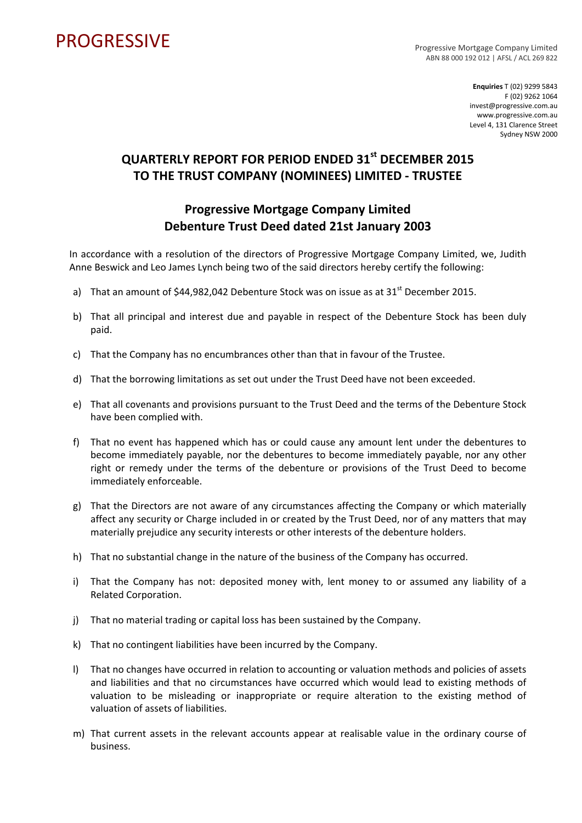## PROGRESSIVE PROGRESSIVE

ABN 88 000 192 012 | AFSL / ACL 269 822

**Enquiries** T (02) 9299 5843 F (02) 9262 1064 invest@progressive.com.au www.progressive.com.au Level 4, 131 Clarence Street Sydney NSW 2000

## **QUARTERLY REPORT FOR PERIOD ENDED 31st DECEMBER 2015 TO THE TRUST COMPANY (NOMINEES) LIMITED ‐ TRUSTEE**

## **Progressive Mortgage Company Limited Debenture Trust Deed dated 21st January 2003**

In accordance with a resolution of the directors of Progressive Mortgage Company Limited, we, Judith Anne Beswick and Leo James Lynch being two of the said directors hereby certify the following:

- a) That an amount of  $$44,982,042$  Debenture Stock was on issue as at  $31<sup>st</sup>$  December 2015.
- b) That all principal and interest due and payable in respect of the Debenture Stock has been duly paid.
- c) That the Company has no encumbrances other than that in favour of the Trustee.
- d) That the borrowing limitations as set out under the Trust Deed have not been exceeded.
- e) That all covenants and provisions pursuant to the Trust Deed and the terms of the Debenture Stock have been complied with.
- f) That no event has happened which has or could cause any amount lent under the debentures to become immediately payable, nor the debentures to become immediately payable, nor any other right or remedy under the terms of the debenture or provisions of the Trust Deed to become immediately enforceable.
- g) That the Directors are not aware of any circumstances affecting the Company or which materially affect any security or Charge included in or created by the Trust Deed, nor of any matters that may materially prejudice any security interests or other interests of the debenture holders.
- h) That no substantial change in the nature of the business of the Company has occurred.
- i) That the Company has not: deposited money with, lent money to or assumed any liability of a Related Corporation.
- j) That no material trading or capital loss has been sustained by the Company.
- k) That no contingent liabilities have been incurred by the Company.
- l) That no changes have occurred in relation to accounting or valuation methods and policies of assets and liabilities and that no circumstances have occurred which would lead to existing methods of valuation to be misleading or inappropriate or require alteration to the existing method of valuation of assets of liabilities.
- m) That current assets in the relevant accounts appear at realisable value in the ordinary course of business.